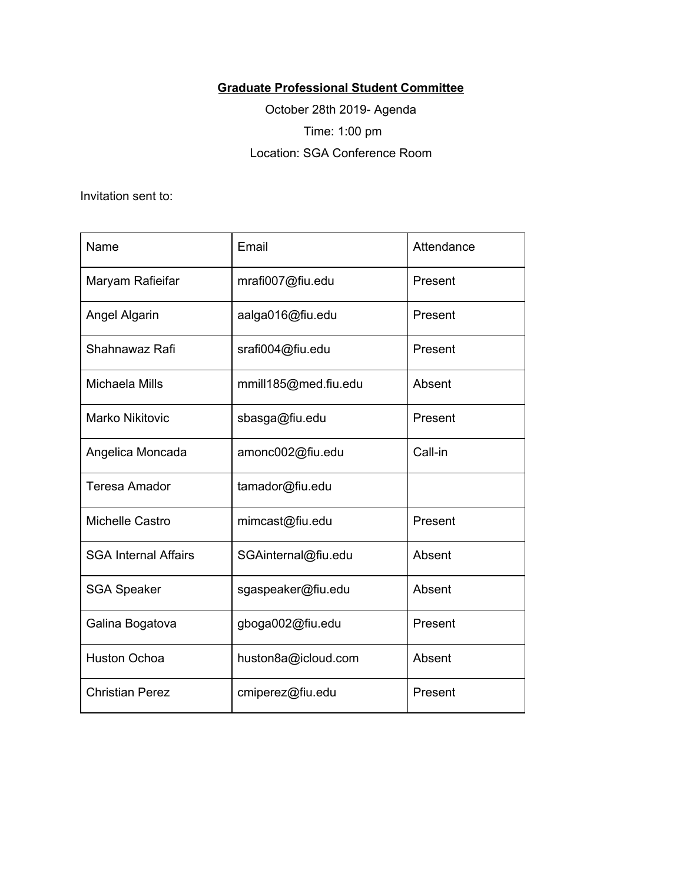## **Graduate Professional Student Committee**

October 28th 2019- Agenda Time: 1:00 pm Location: SGA Conference Room

Invitation sent to:

| Name                        | Email                | Attendance |
|-----------------------------|----------------------|------------|
| Maryam Rafieifar            | mrafi007@fiu.edu     | Present    |
| Angel Algarin               | aalga016@fiu.edu     | Present    |
| Shahnawaz Rafi              | srafi004@fiu.edu     | Present    |
| Michaela Mills              | mmill185@med.fiu.edu | Absent     |
| <b>Marko Nikitovic</b>      | sbasga@fiu.edu       | Present    |
| Angelica Moncada            | amonc002@fiu.edu     | Call-in    |
| Teresa Amador               | tamador@fiu.edu      |            |
| Michelle Castro             | mimcast@fiu.edu      | Present    |
| <b>SGA Internal Affairs</b> | SGAinternal@fiu.edu  | Absent     |
| <b>SGA Speaker</b>          | sgaspeaker@fiu.edu   | Absent     |
| Galina Bogatova             | gboga002@fiu.edu     | Present    |
| <b>Huston Ochoa</b>         | huston8a@icloud.com  | Absent     |
| <b>Christian Perez</b>      | cmiperez@fiu.edu     | Present    |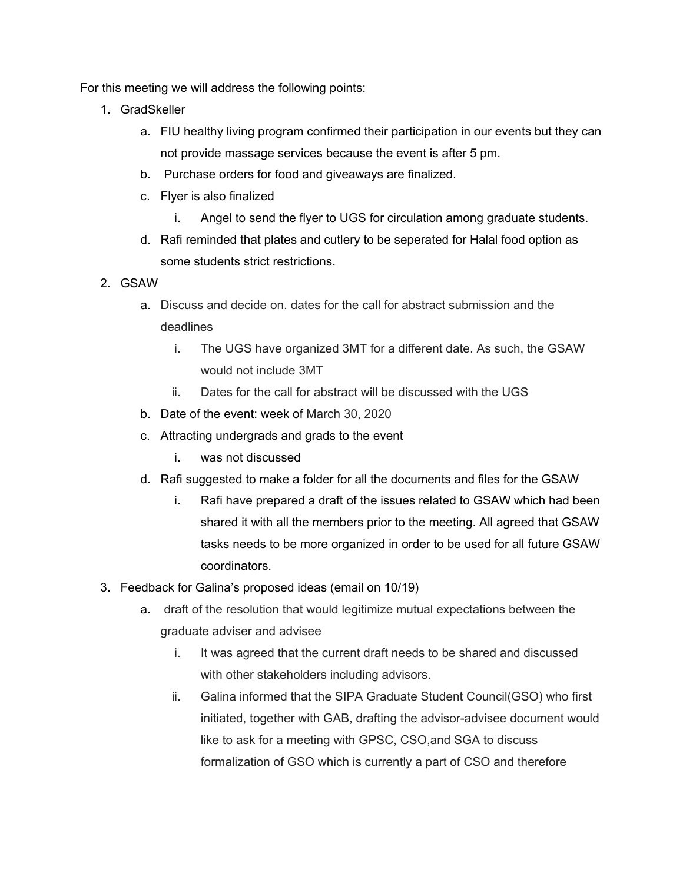For this meeting we will address the following points:

- 1. GradSkeller
	- a. FIU healthy living program confirmed their participation in our events but they can not provide massage services because the event is after 5 pm.
	- b. Purchase orders for food and giveaways are finalized.
	- c. Flyer is also finalized
		- i. Angel to send the flyer to UGS for circulation among graduate students.
	- d. Rafi reminded that plates and cutlery to be seperated for Halal food option as some students strict restrictions.
- 2. GSAW
	- a. Discuss and decide on. dates for the call for abstract submission and the deadlines
		- i. The UGS have organized 3MT for a different date. As such, the GSAW would not include 3MT
		- ii. Dates for the call for abstract will be discussed with the UGS
	- b. Date of the event: week of March 30, 2020
	- c. Attracting undergrads and grads to the event
		- i. was not discussed
	- d. Rafi suggested to make a folder for all the documents and files for the GSAW
		- i. Rafi have prepared a draft of the issues related to GSAW which had been shared it with all the members prior to the meeting. All agreed that GSAW tasks needs to be more organized in order to be used for all future GSAW coordinators.
- 3. Feedback for Galina's proposed ideas (email on 10/19)
	- a. draft of the resolution that would legitimize mutual expectations between the graduate adviser and advisee
		- i. It was agreed that the current draft needs to be shared and discussed with other stakeholders including advisors.
		- ii. Galina informed that the SIPA Graduate Student Council(GSO) who first initiated, together with GAB, drafting the advisor-advisee document would like to ask for a meeting with GPSC, CSO,and SGA to discuss formalization of GSO which is currently a part of CSO and therefore